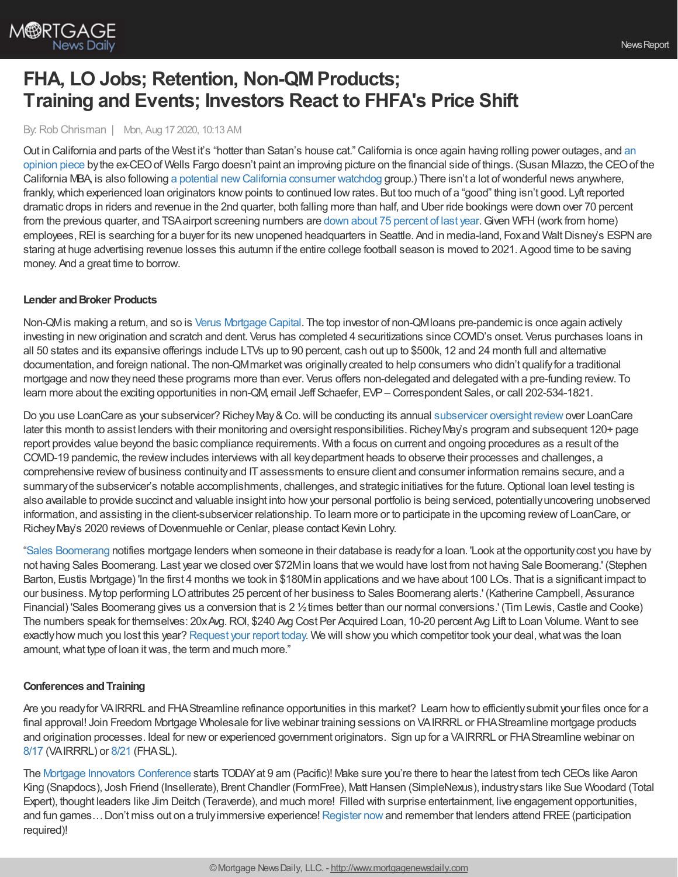

# **FHA, LO Jobs; Retention, Non-QMProducts; Training and Events; Investors React to FHFA's Price Shift**

By:Rob Chrisman | Mon, Aug 17 2020, 10:13 AM

Out in [California](https://www.bizjournals.com/sanfrancisco/news/2020/08/11/exclusive-former-wells-fargo-ceo-warns-california.html) and parts of the West it's "hotter than Satan's house cat." California is once again having rolling power outages, and an opinion piece bythe ex-CEOof Wells Fargo doesn't paint an improving picture on the financial side of things. (Susan Milazzo, the CEOof the California MBA, is also following a potential new California consumer watchdog group.) There isn't a lot of wonderful news anywhere, frankly, which experienced loan originators know points to continued low rates. But too much of a "good" thing isn't good. Lyft reported dramatic drops in riders and revenue in the 2nd quarter, both falling more than half, and Uber ride bookings were down over 70 percent from the previous quarter, and TSA airport screening numbers are down about 75 [percent](https://www.statista.com/statistics/1107016/coronavirus-tsa-checkpoint-travel-numbers-us-airports/) of last year. Given WFH (work from home) employees, REI is searching for a buyer for its new unopened headquarters in Seattle. And in media-land, Fox and Walt Disney's ESPN are staring at huge advertising revenue losses this autumn if the entire college football season is moved to 2021. Agood time to be saving money. And a great time to borrow.

#### **Lender** and **Broker Products**

Non-QMis making a return, and so is Verus [Mortgage](http://www.verusmc.com/) Capital. The top investor of non-QMloans pre-pandemic is once again actively investing in neworigination and scratch and dent. Verus has completed 4 securitizations since COVID's onset. Verus purchases loans in all 50 states and its expansive offerings include LTVs up to 90 percent, cash out up to \$500k, 12 and 24 month full and alternative documentation, and foreign national. The non-QM market was originally created to help consumers who didn't qualify for a traditional mortgage and nowtheyneed these programs more than ever. Verus offers non-delegated and delegated with a pre-funding review. To learn more about the exciting opportunities in non-QM, email Jeff Schaefer, EVP– Correspondent Sales, or call 202-534-1821.

Do you use LoanCare as your [subservicer](https://www.richeymay.com/compliance-risk/subservicer-oversight/)? Richey May & Co. will be conducting its annual subservicer oversight review over LoanCare later this month to assist lenders with their monitoring and oversight responsibilities. Richey May's program and subsequent 120+ page report provides value beyond the basic compliance requirements. With a focus on current and ongoing procedures as a result of the COVID-19 pandemic, the reviewincludes interviews with all keydepartment heads to observe their processes and challenges, a comprehensive reviewof business continuityand ITassessments to ensure client and consumer information remains secure, and a summary of the subservicer's notable accomplishments, challenges, and strategic initiatives for the future. Optional loan level testing is also available to provide succinct and valuable insight into howyour personal portfolio is being serviced, potentiallyuncovering unobserved information, and assisting in the client-subservicer relationship. To learn more or to participate in the upcoming reviewof LoanCare, or Richey May's 2020 reviews of Dovenmuehle or Cenlar, please contact Kevin Lohry.

"Sales [Boomerang](https://www.salesboomerang.com/?utm_campaign=Rob%20Chrisman%207.16.20&utm_source=chrisman&utm_medium=email&utm_term=retention&utm_content=home) notifies mortgage lenders when someone in their database is readyfor a loan. 'Look at the opportunitycost you have by not having Sales Boomerang. Last year we closed over \$72Min loans thatwe would have lost from not having Sale Boomerang.' (Stephen Barton, Eustis Mortgage) 'In the first 4 months we took in \$180Min applications and we have about 100 LOs. That is a significant impact to our business. Mytop performing LOattributes 25 percent of her business to Sales Boomerang alerts.' (Katherine Campbell, Assurance Financial) 'Sales Boomerang gives us a conversion that is 2  $\frac{1}{2}$  times better than our normal conversions.' (Tim Lewis, Castle and Cooke) The numbers speak for themselves: 20xAvg.ROI, \$240 Avg Cost Per Acquired Loan, 10-20 percent Avg Lift to Loan Volume. Want to see exactly how much you lost this year? [Request](https://info.salesboomerang.com/things_you_cant_live_without_v2?utm_campaign=Rob%20Chrisman%207.16.20&utm_source=chrisman&utm_medium=email&utm_term=retention) your report today. We will show you which competitor took your deal, what was the loan amount, what type of loan it was, the term and much more."

## **Conferences andTraining**

Are you readyfor VAIRRRL and FHAStreamline refinance opportunities in this market? Learn howto efficientlysubmit your files once for a final approval! Join Freedom Mortgage Wholesale for live webinar training sessions on VAIRRRL or FHA Streamline mortgage products and origination processes. Ideal for newor experienced government originators. Sign up for a VAIRRRL or FHAStreamline webinar on [8/17](https://freedom.zoom.us/meeting/register/tJ0qfu-grTosGdNsAiYKySeZQxiAwc6s-XcO) (VAIRRRL) or [8/21](https://freedom.zoom.us/meeting/register/tJEtc-ioqD0iH9GTorET00yemomFTJf-jMiS) (FHASL).

The Mortgage Innovators [Conference](https://www.mortgageinnovators.com/) starts TODAYat 9 am (Pacific)! Make sure you're there to hear the latest from tech CEOs like Aaron King (Snapdocs), Josh Friend (Insellerate), Brent Chandler (FormFree), Matt Hansen (SimpleNexus), industry stars like Sue Woodard (Total Expert), thought leaders like Jim Deitch (Teraverde), and much more! Filled with surprise entertainment, live engagement opportunities, and fun games... Don't miss out on a truly immersive experience! [Register](https://form.jotform.com/193451730125149) now and remember that lenders attend FREE (participation required)!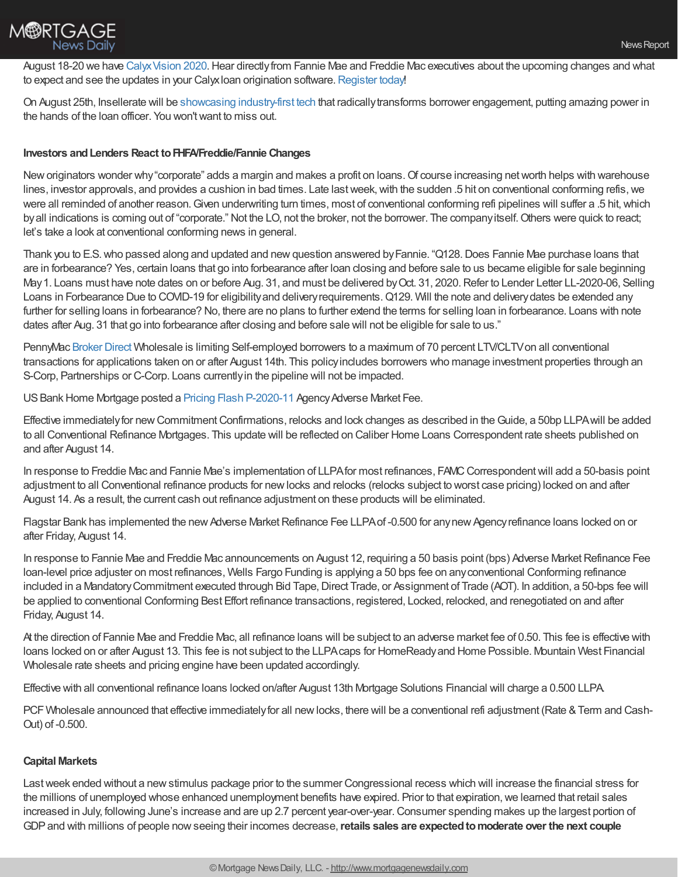August 18-20 we have Calyx Vision 2020. Hear directly from Fannie Mae and Freddie Mac executives about the upcoming changes and what to expect and see the updates in your Calyxloan origination software. [Register](https://www.eventbrite.com/e/calyx-vision-2020-user-conference-tickets-104161471766) today!

On August 25th, Insellerate will be showcasing [industry-first](https://crm.insellerate.com/mortgageinnovators2020/) tech that radicallytransforms borrower engagement, putting amazing power in the hands of the loan officer. You won'twant to miss out.

## **Investors andLenders React toFHFA/Freddie/Fannie Changes**

New originators wonder why "corporate" adds a margin and makes a profit on loans. Of course increasing net worth helps with warehouse lines, investor approvals, and provides a cushion in bad times. Late last week, with the sudden .5 hit on conventional conforming refis, we were all reminded of another reason. Given underwriting turn times, most of conventional conforming refi pipelines will suffer a .5 hit, which by all indications is coming out of "corporate." Not the LO, not the broker, not the borrower. The company itself. Others were quick to react; let's take a look at conventional conforming news in general.

Thank you to E.S.who passed along and updated and newquestion answered byFannie. "Q128.Does Fannie Mae purchase loans that are in forbearance? Yes, certain loans that go into forbearance after loan closing and before sale to us became eligible for sale beginning May1. Loans must have note dates on or before Aug. 31, and must be delivered byOct. 31, 2020.Refer to Lender Letter LL-2020-06, Selling Loans in Forbearance Due to COVID-19 for eligibility and delivery requirements. Q129. Will the note and delivery dates be extended any further for selling loans in forbearance? No, there are no plans to further extend the terms for selling loan in forbearance. Loans with note dates after Aug. 31 that go into forbearance after closing and before sale will not be eligible for sale to us."

PennyMac [Broker](https://www.pennymacbrokerdirect.com/) Direct Wholesale is limiting Self-employed borrowers to a maximum of 70 percent LTV/CLTVon all conventional transactions for applications taken on or after August 14th. This policyincludes borrowers who manage investment properties through an S-Corp, Partnerships or C-Corp. Loans currentlyin the pipeline will not be impacted.

US Bank Home Mortgage posted a Pricing Flash [P-2020-11](http://pull.t2mr3.com/cgi-bin/pull/DocPull/5254-CFEC/258381260/P-2020-11_Agency_Adverse_Market_Fee_8-14-20.pdf) Agency Adverse Market Fee.

Effective immediatelyfor newCommitmentConfirmations, relocks and lock changes as described in theGuide, a 50bp LLPAwill be added to all Conventional Refinance Mortgages. This update will be reflected on Caliber Home Loans Correspondent rate sheets published on and after August 14.

In response to Freddie Mac and Fannie Mae's implementation of LLPA for most refinances, FAMC Correspondent will add a 50-basis point adjustment to all Conventional refinance products for newlocks and relocks (relocks subject to worst case pricing) locked on and after August 14. As a result, the current cash out refinance adjustment on these products will be eliminated.

Flagstar Bank has implemented the new Adverse Market Refinance Fee LLPA of -0.500 for any new Agency refinance loans locked on or after Friday, August 14.

In response to Fannie Mae and Freddie Mac announcements on August 12, requiring a 50 basis point (bps) Adverse Market Refinance Fee loan-level price adjuster on most refinances, Wells Fargo Funding is applying a 50 bps fee on anyconventional Conforming refinance included in a Mandatory Commitment executed through Bid Tape, Direct Trade, or Assignment of Trade (AOT). In addition, a 50-bps fee will be applied to conventional Conforming Best Effort refinance transactions, registered, Locked, relocked, and renegotiated on and after Friday, August 14.

At the direction of Fannie Mae and Freddie Mac, all refinance loans will be subject to an adverse market fee of 0.50. This fee is effective with loans locked on or after August 13. This fee is not subject to the LLPAcaps for HomeReadyand Home Possible. Mountain West Financial Wholesale rate sheets and pricing engine have been updated accordingly.

Effective with all conventional refinance loans locked on/after August 13th Mortgage Solutions Financial will charge a 0.500 LLPA.

PCF Wholesale announced that effective immediately for all new locks, there will be a conventional refi adjustment (Rate & Term and Cash-Out) of -0.500.

## **Capital Markets**

Lastweek ended without a newstimulus package prior to the summer Congressional recess which will increase the financial stress for the millions of unemployed whose enhanced unemployment benefits have expired. Prior to that expiration, we learned that retail sales increased in July, following June's increase and are up 2.7 percent year-over-year. Consumer spending makes up the largest portion of GDPand with millions of people nowseeing their incomes decrease,**retails sales are expectedtomoderate over the next couple**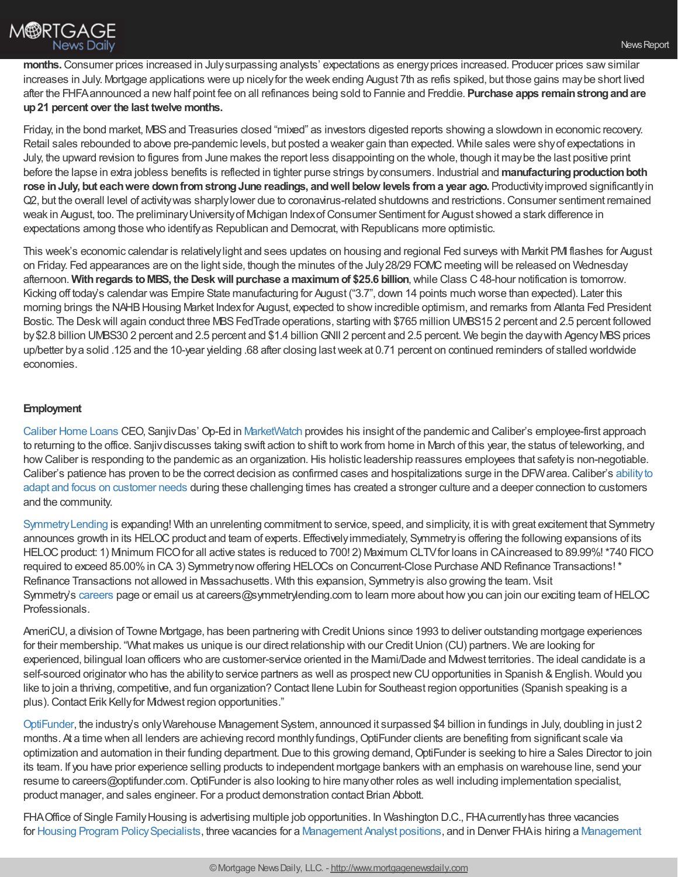

**months.**Consumer prices increased in Julysurpassing analysts' expectations as energyprices increased. Producer prices sawsimilar increases in July. Mortgage applications were up nicely for the week ending August 7th as refis spiked, but those gains may be short lived after the FHFAannounced a newhalf point fee on all refinances being sold to Fannie and Freddie. **Purchase apps remainstrongandare up21 percent over the last twelve months.**

Friday, in the bond market, MBSand Treasuries closed "mixed" as investors digested reports showing a slowdown in economic recovery. Retail sales rebounded to above pre-pandemic levels, but posted a weaker gain than expected. While sales were shyof expectations in July, the upward revision to figures from June makes the report less disappointing on the whole, though it maybe the last positive print before the lapse in extra jobless benefits is reflected in tighter purse strings byconsumers. Industrial and **manufacturingproductionboth rose inJuly, but eachwere downfromstrongJune readings, andwell below levels froma year ago.** Productivityimproved significantlyin Q2, but the overall level of activitywas sharplylower due to coronavirus-related shutdowns and restrictions.Consumer sentiment remained weak in August, too. The preliminary University of Michigan Index of Consumer Sentiment for August showed a stark difference in expectations among those who identifyas Republican and Democrat,with Republicans more optimistic.

This week's economic calendar is relativelylight and sees updates on housing and regional Fed surveys with Markit PMI flashes for August on Friday. Fed appearances are on the light side, though the minutes of the July28/29 FOMC meeting will be released on Wednesday afternoon. **Withregards toMBS, the Deskwill purchase a maximumof \$25.6 billion**,while Class C48-hour notification is tomorrow. Kicking off today's calendar was Empire State manufacturing for August ("3.7", down 14 points much worse than expected). Later this morning brings the NAHB Housing Market Index for August, expected to show incredible optimism, and remarks from Atlanta Fed President Bostic. The Desk will again conduct three MBS FedTrade operations, starting with \$765 million UMBS15 2 percent and 2.5 percent followed by \$2.8 billion UMBS30 2 percent and 2.5 percent and \$1.4 billion GNII 2 percent and 2.5 percent. We begin the day with Agency MBS prices up/better bya solid .125 and the 10-year yielding .68 after closing lastweek at 0.71 percent on continued reminders of stalled worldwide economies.

## **Employment**

[Caliber](https://recruiting.adp.com/srccar/public/RTI.home?d=ExternalCaliberHomeLoans&_icx=v02Pg0E8dry77as%252F53w4AJaa70NZw%252Fw8fF8hbFO1EF85wLt9DxjYJuzTaiz3cC3bUG0&c=1060341&_dissimuloSSO=k81IQ_xGY14:XQC7YMN_-Mx6DdXOyW3KVTQohAw) Home Loans CEO, SanjivDas' Op-Ed in [MarketWatch](https://www.marketwatch.com/story/why-my-companys-7000-employees-wont-rush-back-to-the-office-even-when-the-coronavirus-is-under-control-2020-08-04) provides his insight of the pandemic and Caliber's employee-first approach to returning to the office. Sanjivdiscusses taking swift action to shift to work from home in March of this year, the status of teleworking, and how Caliber is responding to the pandemic as an organization. His holistic leadership reassures employees that safety is non-negotiable. Caliber's patience has proven to be the correct decision as confirmed cases and hospitalizations surge in the DFW area. Caliber's ability to adapt and focus on customer needs during these challenging times has created a stronger culture and a deeper connection to customers and the community.

[SymmetryLending](http://www.symmetrylending.com/) is expanding! With an unrelenting commitment to service, speed, and simplicity, it is with great excitement that Symmetry announces growth in its HELOC product and team of experts. Effectively immediately, Symmetry is offering the following expansions of its HELOC product: 1) Minimum FICO for all active states is reduced to 700! 2) Maximum CLTV for loans in CAincreased to 89.99%! \*740 FICO required to exceed 85.00% in CA. 3) Symmetry now offering HELOCs on Concurrent-Close Purchase AND Refinance Transactions! \* Refinance Transactions not allowed in Massachusetts. With this expansion, Symmetryis also growing the team. Visit Symmetry's [careers](http://www.symmetrylending.com/careers) page or email us at careers@symmetrylending.com to learn more about how you can join our exciting team of HELOC Professionals.

AmeriCU, a division of Towne Mortgage, has been partnering with Credit Unions since 1993 to deliver outstanding mortgage experiences for their membership. "What makes us unique is our direct relationship with our Credit Union (CU) partners. We are looking for experienced, bilingual loan officers who are customer-service oriented in the Miami/Dade and Midwest territories. The ideal candidate is a self-sourced originator who has the ability to service partners as well as prospect new CU opportunities in Spanish & English. Would you like to join a thriving, competitive, and fun organization? Contact Ilene Lubin for Southeast region opportunities (Spanish speaking is a plus). Contact Erik Kelly for Midwest region opportunities."

[OptiFunder,](http://www.optifunder.com/) the industry's onlyWarehouse Management System, announced it surpassed \$4 billion in fundings in July, doubling in just 2 months. At a time when all lenders are achieving record monthly fundings, OptiFunder clients are benefiting from significant scale via optimization and automation in their funding department. Due to this growing demand, OptiFunder is seeking to hire a Sales Director to join its team. If you have prior experience selling products to independent mortgage bankers with an emphasis on warehouse line, send your resume to careers@optifunder.com.OptiFunder is also looking to hire manyother roles as well including implementation specialist, product manager, and sales engineer. For a product demonstration contact Brian Abbott.

FHA Office of Single Family Housing is advertising multiple job opportunities. In Washington D.C., FHA currently has three vacancies for Housing Program Policy Specialists, three vacancies for a [Management](https://www.usajobs.gov/GetJob/ViewDetails/576188700) Analyst positions, and in Denver FHA is hiring a Management